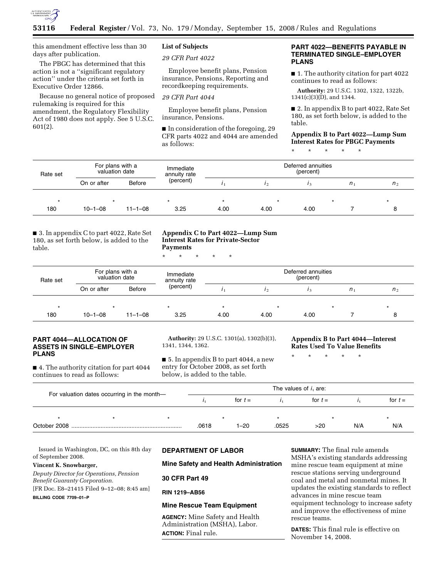

this amendment effective less than 30 days after publication.

The PBGC has determined that this action is not a ''significant regulatory action'' under the criteria set forth in Executive Order 12866.

Because no general notice of proposed rulemaking is required for this amendment, the Regulatory Flexibility Act of 1980 does not apply. See 5 U.S.C. 601(2).

# **List of Subjects**

*29 CFR Part 4022* 

Employee benefit plans, Pension insurance, Pensions, Reporting and recordkeeping requirements.

*29 CFR Part 4044* 

Employee benefit plans, Pension insurance, Pensions.

■ In consideration of the foregoing, 29 CFR parts 4022 and 4044 are amended as follows:

## **PART 4022—BENEFITS PAYABLE IN TERMINATED SINGLE–EMPLOYER PLANS**

■ 1. The authority citation for part 4022 continues to read as follows:

**Authority:** 29 U.S.C. 1302, 1322, 1322b,  $1341(c)(3)(D)$ , and 1344.

■ 2. In appendix B to part 4022, Rate Set 180, as set forth below, is added to the table.

**Appendix B to Part 4022—Lump Sum Interest Rates for PBGC Payments** 

\* \* \* \* \*

| Rate set | For plans with a<br>valuation date |               | Immediate<br>annuity rate |      | Deferred annuities<br>(percent) |      |         |                |
|----------|------------------------------------|---------------|---------------------------|------|---------------------------------|------|---------|----------------|
|          | On or after                        | <b>Before</b> | (percent)                 |      |                                 |      | $n_{1}$ | n <sub>2</sub> |
| $\star$  |                                    |               | $\star$                   |      | *                               |      |         |                |
| 180      | $10 - 1 - 08$                      | $11 - 1 - 08$ | 3.25                      | 4.00 | 4.00                            | 4.00 |         |                |

■ 3. In appendix C to part 4022, Rate Set 180, as set forth below, is added to the table.

# **Appendix C to Part 4022—Lump Sum Interest Rates for Private-Sector Payments**

\* \* \* \* \*

| Rate set | For plans with a<br>valuation date |               | Immediate<br>annuity rate |      | Deferred annuities |      |                |                |
|----------|------------------------------------|---------------|---------------------------|------|--------------------|------|----------------|----------------|
|          | On or after                        | Before        | (percent)                 |      |                    |      | n <sub>1</sub> | n <sub>2</sub> |
| $\star$  |                                    |               | $\star$                   |      | $\star$            |      |                |                |
| 180      | $10 - 1 - 08$                      | $11 - 1 - 08$ | 3.25                      | 4.00 | 4.00               | 4.00 |                |                |

## **PART 4044—ALLOCATION OF ASSETS IN SINGLE–EMPLOYER PLANS**

■ 4. The authority citation for part 4044 continues to read as follows:

**Authority:** 29 U.S.C. 1301(a), 1302(b)(3), 1341, 1344, 1362.

■ 5. In appendix B to part 4044, a new entry for October 2008, as set forth below, is added to the table.

### **Appendix B to Part 4044—Interest Rates Used To Value Benefits**

\* \* \* \* \*

| For valuation dates occurring in the month- |  |         | The values of $ii$ are: |          |           |     |           |     |  |
|---------------------------------------------|--|---------|-------------------------|----------|-----------|-----|-----------|-----|--|
|                                             |  |         | for $t =$               |          | for $t =$ |     | for $t =$ |     |  |
|                                             |  | $\star$ |                         |          | ÷         |     |           |     |  |
|                                             |  |         | .0618                   | $1 - 20$ | .0525     | >20 | N/A       | N/A |  |

Issued in Washington, DC, on this 8th day of September 2008.

# **Vincent K. Snowbarger,**

*Deputy Director for Operations, Pension Benefit Guaranty Corporation.*  [FR Doc. E8–21415 Filed 9–12–08; 8:45 am] **BILLING CODE 7709–01–P** 

# **DEPARTMENT OF LABOR**

## **Mine Safety and Health Administration**

**30 CFR Part 49** 

#### **RIN 1219–AB56**

# **Mine Rescue Team Equipment**

**AGENCY:** Mine Safety and Health Administration (MSHA), Labor. **ACTION:** Final rule.

**SUMMARY:** The final rule amends MSHA's existing standards addressing mine rescue team equipment at mine rescue stations serving underground coal and metal and nonmetal mines. It updates the existing standards to reflect advances in mine rescue team equipment technology to increase safety and improve the effectiveness of mine rescue teams.

**DATES:** This final rule is effective on November 14, 2008.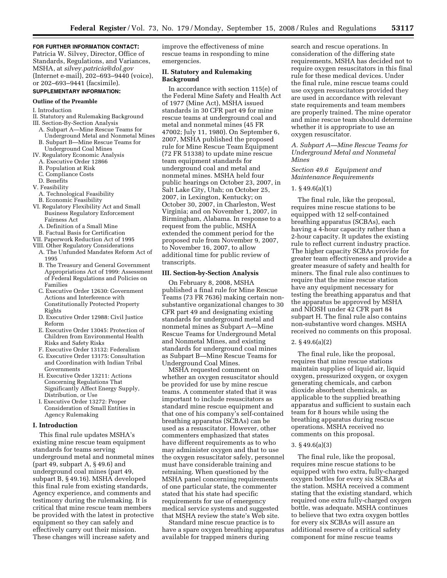### **FOR FURTHER INFORMATION CONTACT:**

Patricia W. Silvey, Director, Office of Standards, Regulations, and Variances, MSHA, at *silvey.patricia@dol.gov*  (Internet e-mail), 202–693–9440 (voice), or 202–693–9441 (facsimile).

# **SUPPLEMENTARY INFORMATION:**

#### **Outline of the Preamble**

#### I. Introduction

- II. Statutory and Rulemaking Background III. Section-By-Section Analysis
- A. Subpart A—Mine Rescue Teams for
	- Underground Metal and Nonmetal Mines B. Subpart B—Mine Rescue Teams for
- Underground Coal Mines
- IV. Regulatory Economic Analysis
- A. Executive Order 12866
- B. Population at Risk
- C. Compliance Costs
- D. Benefits V. Feasibility
- 
- A. Technological Feasibility
- B. Economic Feasibility
- VI. Regulatory Flexibility Act and Small Business Regulatory Enforcement Fairness Act
	- A. Definition of a Small Mine
	- B. Factual Basis for Certification
- VII. Paperwork Reduction Act of 1995
- VIII. Other Regulatory Considerations
- A. The Unfunded Mandates Reform Act of 1995
- B. The Treasury and General Government Appropriations Act of 1999: Assessment of Federal Regulations and Policies on Families
- C. Executive Order 12630: Government Actions and Interference with Constitutionally Protected Property Rights
- D. Executive Order 12988: Civil Justice Reform
- E. Executive Order 13045: Protection of Children from Environmental Health Risks and Safety Risks
- F. Executive Order 13132: Federalism
- G. Executive Order 13175: Consultation and Coordination with Indian Tribal Governments
- H. Executive Order 13211: Actions Concerning Regulations That Significantly Affect Energy Supply, Distribution, or Use
- I. Executive Order 13272: Proper Consideration of Small Entities in Agency Rulemaking

### **I. Introduction**

This final rule updates MSHA's existing mine rescue team equipment standards for teams serving underground metal and nonmetal mines (part 49, subpart A, § 49.6) and underground coal mines (part 49, subpart B, § 49.16). MSHA developed this final rule from existing standards, Agency experience, and comments and testimony during the rulemaking. It is critical that mine rescue team members be provided with the latest in protective equipment so they can safely and effectively carry out their mission. These changes will increase safety and

improve the effectiveness of mine rescue teams in responding to mine emergencies.

# **II. Statutory and Rulemaking Background**

In accordance with section 115(e) of the Federal Mine Safety and Health Act of 1977 (Mine Act), MSHA issued standards in 30 CFR part 49 for mine rescue teams at underground coal and metal and nonmetal mines (45 FR 47002; July 11, 1980). On September 6, 2007, MSHA published the proposed rule for Mine Rescue Team Equipment (72 FR 51338) to update mine rescue team equipment standards for underground coal and metal and nonmetal mines. MSHA held four public hearings on October 23, 2007, in Salt Lake City, Utah; on October 25, 2007, in Lexington, Kentucky; on October 30, 2007, in Charleston, West Virginia; and on November 1, 2007, in Birmingham, Alabama. In response to a request from the public, MSHA extended the comment period for the proposed rule from November 9, 2007, to November 16, 2007, to allow additional time for public review of transcripts.

### **III. Section-by-Section Analysis**

On February 8, 2008, MSHA published a final rule for Mine Rescue Teams (73 FR 7636) making certain nonsubstantive organizational changes to 30 CFR part 49 and designating existing standards for underground metal and nonmetal mines as Subpart A—Mine Rescue Teams for Underground Metal and Nonmetal Mines, and existing standards for underground coal mines as Subpart B—Mine Rescue Teams for Underground Coal Mines.

MSHA requested comment on whether an oxygen resuscitator should be provided for use by mine rescue teams. A commenter stated that it was important to include resuscitators as standard mine rescue equipment and that one of his company's self-contained breathing apparatus (SCBAs) can be used as a resuscitator. However, other commenters emphasized that states have different requirements as to who may administer oxygen and that to use the oxygen resuscitator safely, personnel must have considerable training and retraining. When questioned by the MSHA panel concerning requirements of one particular state, the commenter stated that his state had specific requirements for use of emergency medical service systems and suggested that MSHA review the state's Web site.

Standard mine rescue practice is to have a spare oxygen breathing apparatus available for trapped miners during

search and rescue operations. In consideration of the differing state requirements, MSHA has decided not to require oxygen resuscitators in this final rule for these medical devices. Under the final rule, mine rescue teams could use oxygen resuscitators provided they are used in accordance with relevant state requirements and team members are properly trained. The mine operator and mine rescue team should determine whether it is appropriate to use an oxygen resuscitator.

## *A. Subpart A—Mine Rescue Teams for Underground Metal and Nonmetal Mines*

# *Section 49.6 Equipment and Maintenance Requirements*

## 1. § 49.6(a)(1)

The final rule, like the proposal, requires mine rescue stations to be equipped with 12 self-contained breathing apparatus (SCBAs), each having a 4-hour capacity rather than a 2-hour capacity. It updates the existing rule to reflect current industry practice. The higher capacity SCBAs provide for greater team effectiveness and provide a greater measure of safety and health for miners. The final rule also continues to require that the mine rescue station have any equipment necessary for testing the breathing apparatus and that the apparatus be approved by MSHA and NIOSH under 42 CFR part 84 subpart H. The final rule also contains non-substantive word changes. MSHA received no comments on this proposal.

### 2. § 49.6(a)(2)

The final rule, like the proposal, requires that mine rescue stations maintain supplies of liquid air, liquid oxygen, pressurized oxygen, or oxygen generating chemicals, and carbon dioxide absorbent chemicals, as applicable to the supplied breathing apparatus and sufficient to sustain each team for 8 hours while using the breathing apparatus during rescue operations. MSHA received no comments on this proposal.

## 3. § 49.6(a)(3)

The final rule, like the proposal, requires mine rescue stations to be equipped with two extra, fully-charged oxygen bottles for every six SCBAs at the station. MSHA received a comment stating that the existing standard, which required one extra fully-charged oxygen bottle, was adequate. MSHA continues to believe that two extra oxygen bottles for every six SCBAs will assure an additional reserve of a critical safety component for mine rescue teams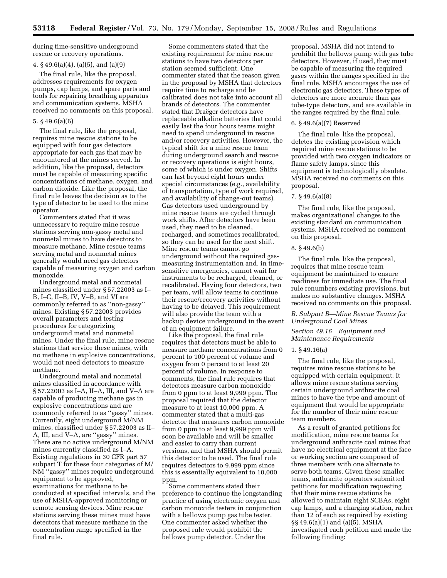during time-sensitive underground rescue or recovery operations.

#### 4. § 49.6(a)(4), (a)(5), and (a)(9)

The final rule, like the proposal, addresses requirements for oxygen pumps, cap lamps, and spare parts and tools for repairing breathing apparatus and communication systems. MSHA received no comments on this proposal.

#### 5. § 49.6(a)(6)

The final rule, like the proposal, requires mine rescue stations to be equipped with four gas detectors appropriate for each gas that may be encountered at the mines served. In addition, like the proposal, detectors must be capable of measuring specific concentrations of methane, oxygen, and carbon dioxide. Like the proposal, the final rule leaves the decision as to the type of detector to be used to the mine operator.

Commenters stated that it was unnecessary to require mine rescue stations serving non-gassy metal and nonmetal mines to have detectors to measure methane. Mine rescue teams serving metal and nonmetal mines generally would need gas detectors capable of measuring oxygen and carbon monoxide.

Underground metal and nonmetal mines classified under § 57.22003 as I– B, I–C, II–B, IV, V–B, and VI are commonly referred to as ''non-gassy'' mines. Existing § 57.22003 provides overall parameters and testing procedures for categorizing underground metal and nonmetal mines. Under the final rule, mine rescue stations that service these mines, with no methane in explosive concentrations, would not need detectors to measure methane.

Underground metal and nonmetal mines classified in accordance with § 57.22003 as I–A, II–A, III, and V–A are capable of producing methane gas in explosive concentrations and are commonly referred to as ''gassy'' mines. Currently, eight underground M/NM mines, classified under § 57.22003 as II– A, III, and V–A, are ''gassy'' mines. There are no active underground M/NM mines currently classified as I–A. Existing regulations in 30 CFR part 57 subpart T for these four categories of M/ NM ''gassy'' mines require underground equipment to be approved, examinations for methane to be conducted at specified intervals, and the use of MSHA-approved monitoring or remote sensing devices. Mine rescue stations serving these mines must have detectors that measure methane in the concentration range specified in the final rule.

Some commenters stated that the existing requirement for mine rescue stations to have two detectors per station seemed sufficient. One commenter stated that the reason given in the proposal by MSHA that detectors require time to recharge and be calibrated does not take into account all brands of detectors. The commenter stated that Draëger detectors have replaceable alkaline batteries that could easily last the four hours teams might need to spend underground in rescue and/or recovery activities. However, the typical shift for a mine rescue team during underground search and rescue or recovery operations is eight hours, some of which is under oxygen. Shifts can last beyond eight hours under special circumstances (e.g., availability of transportation, type of work required, and availability of change-out teams). Gas detectors used underground by mine rescue teams are cycled through work shifts. After detectors have been used, they need to be cleaned, recharged, and sometimes recalibrated, so they can be used for the next shift. Mine rescue teams cannot go underground without the required gasmeasuring instrumentation and, in timesensitive emergencies, cannot wait for instruments to be recharged, cleaned, or recalibrated. Having four detectors, two per team, will allow teams to continue their rescue/recovery activities without having to be delayed. This requirement will also provide the team with a backup device underground in the event of an equipment failure.

Like the proposal, the final rule requires that detectors must be able to measure methane concentrations from 0 percent to 100 percent of volume and oxygen from 0 percent to at least 20 percent of volume. In response to comments, the final rule requires that detectors measure carbon monoxide from 0 ppm to at least 9,999 ppm. The proposal required that the detector measure to at least 10,000 ppm. A commenter stated that a multi-gas detector that measures carbon monoxide from 0 ppm to at least 9,999 ppm will soon be available and will be smaller and easier to carry than current versions, and that MSHA should permit this detector to be used. The final rule requires detectors to 9,999 ppm since this is essentially equivalent to 10,000 ppm.

Some commenters stated their preference to continue the longstanding practice of using electronic oxygen and carbon monoxide testers in conjunction with a bellows pump gas tube tester. One commenter asked whether the proposed rule would prohibit the bellows pump detector. Under the

proposal, MSHA did not intend to prohibit the bellows pump with gas tube detectors. However, if used, they must be capable of measuring the required gases within the ranges specified in the final rule. MSHA encourages the use of electronic gas detectors. These types of detectors are more accurate than gas tube-type detectors, and are available in the ranges required by the final rule.

## 6. § 49.6(a)(7) Reserved

The final rule, like the proposal, deletes the existing provision which required mine rescue stations to be provided with two oxygen indicators or flame safety lamps, since this equipment is technologically obsolete. MSHA received no comments on this proposal.

# 7. § 49.6(a)(8)

The final rule, like the proposal, makes organizational changes to the existing standard on communication systems. MSHA received no comment on this proposal.

### 8. § 49.6(b)

The final rule, like the proposal, requires that mine rescue team equipment be maintained to ensure readiness for immediate use. The final rule renumbers existing provisions, but makes no substantive changes. MSHA received no comments on this proposal.

### *B. Subpart B—Mine Rescue Teams for Underground Coal Mines*

### *Section 49.16 Equipment and Maintenance Requirements*

#### 1. § 49.16(a)

The final rule, like the proposal, requires mine rescue stations to be equipped with certain equipment. It allows mine rescue stations serving certain underground anthracite coal mines to have the type and amount of equipment that would be appropriate for the number of their mine rescue team members.

As a result of granted petitions for modification, mine rescue teams for underground anthracite coal mines that have no electrical equipment at the face or working section are composed of three members with one alternate to serve both teams. Given these smaller teams, anthracite operators submitted petitions for modification requesting that their mine rescue stations be allowed to maintain eight SCBAs, eight cap lamps, and a charging station, rather than 12 of each as required by existing §§ 49.6(a)(1) and (a)(5). MSHA investigated each petition and made the following finding: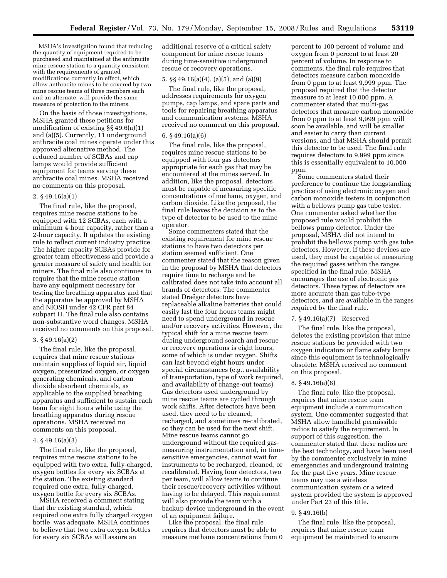MSHA's investigation found that reducing the quantity of equipment required to be purchased and maintained at the anthracite mine rescue station to a quantity consistent with the requirements of granted modifications currently in effect, which allow anthracite mines to be covered by two mine rescue teams of three members each and an alternate, will provide the same measure of protection to the miners.

On the basis of those investigations, MSHA granted these petitions for modification of existing §§ 49.6(a)(1) and (a)(5). Currently, 11 underground anthracite coal mines operate under this approved alternative method. The reduced number of SCBAs and cap lamps would provide sufficient equipment for teams serving these anthracite coal mines. MSHA received no comments on this proposal.

### 2. § 49.16(a)(1)

The final rule, like the proposal, requires mine rescue stations to be equipped with 12 SCBAs, each with a minimum 4-hour capacity, rather than a 2-hour capacity. It updates the existing rule to reflect current industry practice. The higher capacity SCBAs provide for greater team effectiveness and provide a greater measure of safety and health for miners. The final rule also continues to require that the mine rescue station have any equipment necessary for testing the breathing apparatus and that the apparatus be approved by MSHA and NIOSH under 42 CFR part 84 subpart H. The final rule also contains non-substantive word changes. MSHA received no comments on this proposal.

#### 3. § 49.16(a)(2)

The final rule, like the proposal, requires that mine rescue stations maintain supplies of liquid air, liquid oxygen, pressurized oxygen, or oxygen generating chemicals, and carbon dioxide absorbent chemicals, as applicable to the supplied breathing apparatus and sufficient to sustain each team for eight hours while using the breathing apparatus during rescue operations. MSHA received no comments on this proposal.

#### 4. § 49.16(a)(3)

The final rule, like the proposal, requires mine rescue stations to be equipped with two extra, fully-charged, oxygen bottles for every six SCBAs at the station. The existing standard required one extra, fully-charged, oxygen bottle for every six SCBAs.

MSHA received a comment stating that the existing standard, which required one extra fully charged oxygen bottle, was adequate. MSHA continues to believe that two extra oxygen bottles for every six SCBAs will assure an

additional reserve of a critical safety component for mine rescue teams during time-sensitive underground rescue or recovery operations.

## 5. §§ 49.16(a)(4), (a)(5), and (a)(9)

The final rule, like the proposal, addresses requirements for oxygen pumps, cap lamps, and spare parts and tools for repairing breathing apparatus and communication systems. MSHA received no comment on this proposal.

#### 6. § 49.16(a)(6)

The final rule, like the proposal, requires mine rescue stations to be equipped with four gas detectors appropriate for each gas that may be encountered at the mines served. In addition, like the proposal, detectors must be capable of measuring specific concentrations of methane, oxygen, and carbon dioxide. Like the proposal, the final rule leaves the decision as to the type of detector to be used to the mine operator.

Some commenters stated that the existing requirement for mine rescue stations to have two detectors per station seemed sufficient. One commenter stated that the reason given in the proposal by MSHA that detectors require time to recharge and be calibrated does not take into account all brands of detectors. The commenter stated Draëger detectors have replaceable alkaline batteries that could easily last the four hours teams might need to spend underground in rescue and/or recovery activities. However, the typical shift for a mine rescue team during underground search and rescue or recovery operations is eight hours, some of which is under oxygen. Shifts can last beyond eight hours under special circumstances (e.g., availability of transportation, type of work required, and availability of change-out teams). Gas detectors used underground by mine rescue teams are cycled through work shifts. After detectors have been used, they need to be cleaned, recharged, and sometimes re-calibrated, so they can be used for the next shift. Mine rescue teams cannot go underground without the required gasmeasuring instrumentation and, in timesensitive emergencies, cannot wait for instruments to be recharged, cleaned, or recalibrated. Having four detectors, two per team, will allow teams to continue their rescue/recovery activities without having to be delayed. This requirement will also provide the team with a backup device underground in the event of an equipment failure.

Like the proposal, the final rule requires that detectors must be able to measure methane concentrations from 0

percent to 100 percent of volume and oxygen from 0 percent to at least 20 percent of volume. In response to comments, the final rule requires that detectors measure carbon monoxide from 0 ppm to at least 9,999 ppm. The proposal required that the detector measure to at least 10,000 ppm. A commenter stated that multi-gas detectors that measure carbon monoxide from 0 ppm to at least 9,999 ppm will soon be available, and will be smaller and easier to carry than current versions, and that MSHA should permit this detector to be used. The final rule requires detectors to 9,999 ppm since this is essentially equivalent to 10,000 ppm.

Some commenters stated their preference to continue the longstanding practice of using electronic oxygen and carbon monoxide testers in conjunction with a bellows pump gas tube tester. One commenter asked whether the proposed rule would prohibit the bellows pump detector. Under the proposal, MSHA did not intend to prohibit the bellows pump with gas tube detectors. However, if these devices are used, they must be capable of measuring the required gases within the ranges specified in the final rule. MSHA encourages the use of electronic gas detectors. These types of detectors are more accurate than gas tube-type detectors, and are available in the ranges required by the final rule.

### 7. § 49.16(a)(7) Reserved

The final rule, like the proposal, deletes the existing provision that mine rescue stations be provided with two oxygen indicators or flame safety lamps since this equipment is technologically obsolete. MSHA received no comment on this proposal.

#### 8. § 49.16(a)(8)

The final rule, like the proposal, requires that mine rescue team equipment include a communication system. One commenter suggested that MSHA allow handheld permissible radios to satisfy the requirement. In support of this suggestion, the commenter stated that these radios are the best technology, and have been used by the commenter exclusively in mine emergencies and underground training for the past five years. Mine rescue teams may use a wireless communication system or a wired system provided the system is approved under Part 23 of this title.

#### 9. § 49.16(b)

The final rule, like the proposal, requires that mine rescue team equipment be maintained to ensure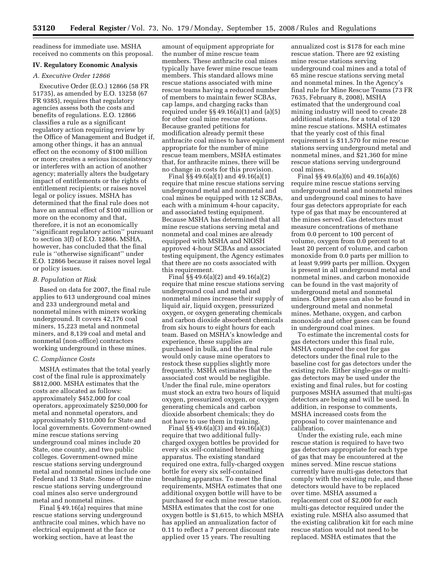readiness for immediate use. MSHA received no comments on this proposal.

### **IV. Regulatory Economic Analysis**

## *A. Executive Order 12866*

Executive Order (E.O.) 12866 (58 FR 51735), as amended by E.O. 13258 (67 FR 9385), requires that regulatory agencies assess both the costs and benefits of regulations. E.O. 12866 classifies a rule as a significant regulatory action requiring review by the Office of Management and Budget if, among other things, it has an annual effect on the economy of \$100 million or more; creates a serious inconsistency or interferes with an action of another agency; materially alters the budgetary impact of entitlements or the rights of entitlement recipients; or raises novel legal or policy issues. MSHA has determined that the final rule does not have an annual effect of \$100 million or more on the economy and that, therefore, it is not an economically ''significant regulatory action'' pursuant to section 3(f) of E.O. 12866. MSHA, however, has concluded that the final rule is ''otherwise significant'' under E.O. 12866 because it raises novel legal or policy issues.

#### *B. Population at Risk*

Based on data for 2007, the final rule applies to 613 underground coal mines and 233 underground metal and nonmetal mines with miners working underground. It covers 42,176 coal miners, 15,223 metal and nonmetal miners, and 8,139 coal and metal and nonmetal (non-office) contractors working underground in these mines.

#### *C. Compliance Costs*

MSHA estimates that the total yearly cost of the final rule is approximately \$812,000. MSHA estimates that the costs are allocated as follows: approximately \$452,000 for coal operators, approximately \$250,000 for metal and nonmetal operators, and approximately \$110,000 for State and local governments. Government-owned mine rescue stations serving underground coal mines include 20 State, one county, and two public colleges. Government-owned mine rescue stations serving underground metal and nonmetal mines include one Federal and 13 State. Some of the mine rescue stations serving underground coal mines also serve underground metal and nonmetal mines.

Final § 49.16(a) requires that mine rescue stations serving underground anthracite coal mines, which have no electrical equipment at the face or working section, have at least the

amount of equipment appropriate for the number of mine rescue team members. These anthracite coal mines typically have fewer mine rescue team members. This standard allows mine rescue stations associated with mine rescue teams having a reduced number of members to maintain fewer SCBAs, cap lamps, and charging racks than required under  $\S$ § 49.16(a)(1) and (a)(5) for other coal mine rescue stations. Because granted petitions for modification already permit these anthracite coal mines to have equipment appropriate for the number of mine rescue team members, MSHA estimates that, for anthracite mines, there will be no change in costs for this provision.

Final §§ 49.6(a)(1) and 49.16(a)(1) require that mine rescue stations serving underground metal and nonmetal and coal mines be equipped with 12 SCBAs, each with a minimum 4-hour capacity, and associated testing equipment. Because MSHA has determined that all mine rescue stations serving metal and nonmetal and coal mines are already equipped with MSHA and NIOSH approved 4-hour SCBAs and associated testing equipment, the Agency estimates that there are no costs associated with this requirement.

Final §§ 49.6(a)(2) and 49.16(a)(2) require that mine rescue stations serving underground coal and metal and nonmetal mines increase their supply of liquid air, liquid oxygen, pressurized oxygen, or oxygen generating chemicals and carbon dioxide absorbent chemicals from six hours to eight hours for each team. Based on MSHA's knowledge and experience, these supplies are purchased in bulk, and the final rule would only cause mine operators to restock these supplies slightly more frequently. MSHA estimates that the associated cost would be negligible. Under the final rule, mine operators must stock an extra two hours of liquid oxygen, pressurized oxygen, or oxygen generating chemicals and carbon dioxide absorbent chemicals; they do not have to use them in training.

Final §§ 49.6(a)(3) and 49.16(a)(3) require that two additional fullycharged oxygen bottles be provided for every six self-contained breathing apparatus. The existing standard required one extra, fully-charged oxygen bottle for every six self-contained breathing apparatus. To meet the final requirements, MSHA estimates that one additional oxygen bottle will have to be purchased for each mine rescue station. MSHA estimates that the cost for one oxygen bottle is \$1,615, to which MSHA has applied an annualization factor of 0.11 to reflect a 7 percent discount rate applied over 15 years. The resulting

annualized cost is \$178 for each mine rescue station. There are 92 existing mine rescue stations serving underground coal mines and a total of 65 mine rescue stations serving metal and nonmetal mines. In the Agency's final rule for Mine Rescue Teams (73 FR 7635, February 8, 2008), MSHA estimated that the underground coal mining industry will need to create 28 additional stations, for a total of 120 mine rescue stations. MSHA estimates that the yearly cost of this final requirement is \$11,570 for mine rescue stations serving underground metal and nonmetal mines, and \$21,360 for mine rescue stations serving underground coal mines.

Final §§ 49.6(a)(6) and 49.16(a)(6) require mine rescue stations serving underground metal and nonmetal mines and underground coal mines to have four gas detectors appropriate for each type of gas that may be encountered at the mines served. Gas detectors must measure concentrations of methane from 0.0 percent to 100 percent of volume, oxygen from 0.0 percent to at least 20 percent of volume, and carbon monoxide from 0.0 parts per million to at least 9,999 parts per million. Oxygen is present in all underground metal and nonmetal mines, and carbon monoxide can be found in the vast majority of underground metal and nonmetal mines. Other gases can also be found in underground metal and nonmetal mines. Methane, oxygen, and carbon monoxide and other gases can be found in underground coal mines.

To estimate the incremental costs for gas detectors under this final rule, MSHA compared the cost for gas detectors under the final rule to the baseline cost for gas detectors under the existing rule. Either single-gas or multigas detectors may be used under the existing and final rules, but for costing purposes MSHA assumed that multi-gas detectors are being and will be used. In addition, in response to comments, MSHA increased costs from the proposal to cover maintenance and calibration.

Under the existing rule, each mine rescue station is required to have two gas detectors appropriate for each type of gas that may be encountered at the mines served. Mine rescue stations currently have multi-gas detectors that comply with the existing rule, and these detectors would have to be replaced over time. MSHA assumed a replacement cost of \$2,000 for each multi-gas detector required under the existing rule. MSHA also assumed that the existing calibration kit for each mine rescue station would not need to be replaced. MSHA estimates that the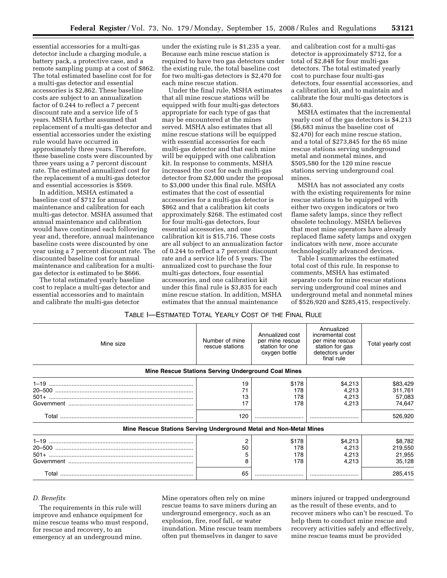essential accessories for a multi-gas detector include a charging module, a battery pack, a protective case, and a remote sampling pump at a cost of \$862. The total estimated baseline cost for for a multi-gas detector and essential accessories is \$2,862. These baseline costs are subject to an annualization factor of 0.244 to reflect a 7 percent discount rate and a service life of 5 years. MSHA further assumed that replacement of a multi-gas detector and essential accessories under the existing rule would have occurred in approximately three years. Therefore, these baseline costs were discounted by three years using a 7 percent discount rate. The estimated annualized cost for the replacement of a multi-gas detector and essential accessories is \$569.

In addition, MSHA estimated a baseline cost of \$712 for annual maintenance and calibration for each multi-gas detector. MSHA assumed that annual maintenance and calibration would have continued each following year and, therefore, annual maintenance baseline costs were discounted by one year using a 7 percent discount rate. The discounted baseline cost for annual maintenance and calibration for a multigas detector is estimated to be \$666.

The total estimated yearly baseline cost to replace a multi-gas detector and essential accessories and to maintain and calibrate the multi-gas detector

under the existing rule is \$1,235 a year. Because each mine rescue station is required to have two gas detectors under the existing rule, the total baseline cost for two multi-gas detectors is \$2,470 for each mine rescue station.

Under the final rule, MSHA estimates that all mine rescue stations will be equipped with four multi-gas detectors appropriate for each type of gas that may be encountered at the mines served. MSHA also estimates that all mine rescue stations will be equipped with essential accessories for each multi-gas detector and that each mine will be equipped with one calibration kit. In response to comments, MSHA increased the cost for each multi-gas detector from \$2,000 under the proposal to \$3,000 under this final rule. MSHA estimates that the cost of essential accessories for a multi-gas detector is \$862 and that a calibration kit costs approximately \$268. The estimated cost for four multi-gas detectors, four essential accessories, and one calibration kit is \$15,716. These costs are all subject to an annualization factor of 0.244 to reflect a 7 percent discount rate and a service life of 5 years. The annualized cost to purchase the four multi-gas detectors, four essential accessories, and one calibration kit under this final rule is \$3,835 for each mine rescue station. In addition, MSHA estimates that the annual maintenance

and calibration cost for a multi-gas detector is approximately \$712, for a total of \$2,848 for four multi-gas detectors. The total estimated yearly cost to purchase four multi-gas detectors, four essential accessories, and a calibration kit, and to maintain and calibrate the four multi-gas detectors is \$6,683.

MSHA estimates that the incremental yearly cost of the gas detectors is \$4,213 (\$6,683 minus the baseline cost of \$2,470) for each mine rescue station, and a total of \$273,845 for the 65 mine rescue stations serving underground metal and nonmetal mines, and \$505,580 for the 120 mine rescue stations serving underground coal mines.

MSHA has not associated any costs with the existing requirements for mine rescue stations to be equipped with either two oxygen indicators or two flame safety lamps, since they reflect obsolete technology. MSHA believes that most mine operators have already replaced flame safety lamps and oxygen indicators with new, more accurate technologically advanced devices.

Table I summarizes the estimated total cost of this rule. In response to comments, MSHA has estimated separate costs for mine rescue stations serving underground coal mines and underground metal and nonmetal mines of \$526,920 and \$285,415, respectively.

## TABLE I—ESTIMATED TOTAL YEARLY COST OF THE FINAL RULE

| Mine size                                                          | Number of mine<br>rescue stations                          | Annualized cost<br>per mine rescue<br>station for one<br>oxygen bottle | Annualized<br>incremental cost<br>per mine rescue<br>station for gas<br>detectors under<br>final rule | Total yearly cost                                  |
|--------------------------------------------------------------------|------------------------------------------------------------|------------------------------------------------------------------------|-------------------------------------------------------------------------------------------------------|----------------------------------------------------|
|                                                                    | <b>Mine Rescue Stations Serving Underground Coal Mines</b> |                                                                        |                                                                                                       |                                                    |
|                                                                    | 19<br>13<br>120                                            | \$178<br>178<br>178<br>178                                             | \$4,213<br>4,213<br>4,213<br>4.213                                                                    | \$83,429<br>311,761<br>57,083<br>74,647<br>526,920 |
| Mine Rescue Stations Serving Underground Metal and Non-Metal Mines |                                                            |                                                                        |                                                                                                       |                                                    |
|                                                                    | 50                                                         | \$178<br>178<br>178<br>178                                             | \$4,213<br>4,213<br>4,213<br>4.213                                                                    | \$8,782<br>219,550<br>21,955<br>35.128             |
|                                                                    | 65                                                         |                                                                        |                                                                                                       | 285,415                                            |

### *D. Benefits*

The requirements in this rule will improve and enhance equipment for mine rescue teams who must respond, for rescue and recovery, to an emergency at an underground mine.

Mine operators often rely on mine rescue teams to save miners during an underground emergency, such as an explosion, fire, roof fall, or water inundation. Mine rescue team members often put themselves in danger to save

miners injured or trapped underground as the result of these events, and to recover miners who can't be rescued. To help them to conduct mine rescue and recovery activities safely and effectively, mine rescue teams must be provided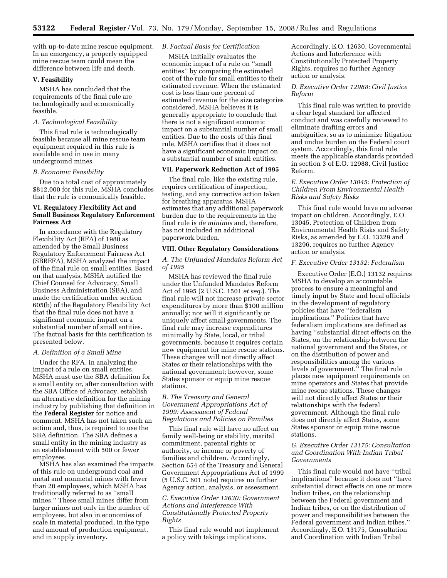with up-to-date mine rescue equipment. In an emergency, a properly equipped mine rescue team could mean the difference between life and death.

## **V. Feasibility**

MSHA has concluded that the requirements of the final rule are technologically and economically feasible.

## *A. Technological Feasibility*

This final rule is technologically feasible because all mine rescue team equipment required in this rule is available and in use in many underground mines.

#### *B. Economic Feasibility*

Due to a total cost of approximately \$812,000 for this rule, MSHA concludes that the rule is economically feasible.

## **VI. Regulatory Flexibility Act and Small Business Regulatory Enforcement Fairness Act**

In accordance with the Regulatory Flexibility Act (RFA) of 1980 as amended by the Small Business Regulatory Enforcement Fairness Act (SBREFA), MSHA analyzed the impact of the final rule on small entities. Based on that analysis, MSHA notified the Chief Counsel for Advocacy, Small Business Administration (SBA), and made the certification under section 605(b) of the Regulatory Flexibility Act that the final rule does not have a significant economic impact on a substantial number of small entities. The factual basis for this certification is presented below.

#### *A. Definition of a Small Mine*

Under the RFA, in analyzing the impact of a rule on small entities, MSHA must use the SBA definition for a small entity or, after consultation with the SBA Office of Advocacy, establish an alternative definition for the mining industry by publishing that definition in the **Federal Register** for notice and comment. MSHA has not taken such an action and, thus, is required to use the SBA definition. The SBA defines a small entity in the mining industry as an establishment with 500 or fewer employees.

MSHA has also examined the impacts of this rule on underground coal and metal and nonmetal mines with fewer than 20 employees, which MSHA has traditionally referred to as ''small mines.'' These small mines differ from larger mines not only in the number of employees, but also in economies of scale in material produced, in the type and amount of production equipment, and in supply inventory.

# *B. Factual Basis for Certification*

MSHA initially evaluates the economic impact of a rule on ''small entities'' by comparing the estimated cost of the rule for small entities to their estimated revenue. When the estimated cost is less than one percent of estimated revenue for the size categories considered, MSHA believes it is generally appropriate to conclude that there is not a significant economic impact on a substantial number of small entities. Due to the costs of this final rule, MSHA certifies that it does not have a significant economic impact on a substantial number of small entities.

## **VII. Paperwork Reduction Act of 1995**

The final rule, like the existing rule, requires certification of inspection, testing, and any corrective action taken for breathing apparatus. MSHA estimates that any additional paperwork burden due to the requirements in the final rule is *de minimis* and, therefore, has not included an additional paperwork burden.

#### **VIII. Other Regulatory Considerations**

### *A. The Unfunded Mandates Reform Act of 1995*

MSHA has reviewed the final rule under the Unfunded Mandates Reform Act of 1995 (2 U.S.C. 1501 *et seq.*). The final rule will not increase private sector expenditures by more than \$100 million annually; nor will it significantly or uniquely affect small governments. The final rule may increase expenditures minimally by State, local, or tribal governments, because it requires certain new equipment for mine rescue stations. These changes will not directly affect States or their relationships with the national government; however, some States sponsor or equip mine rescue stations.

## *B. The Treasury and General Government Appropriations Act of 1999: Assessment of Federal Regulations and Policies on Families*

This final rule will have no affect on family well-being or stability, marital commitment, parental rights or authority, or income or poverty of families and children. Accordingly, Section 654 of the Treasury and General Government Appropriations Act of 1999 (5 U.S.C. 601 note) requires no further Agency action, analysis, or assessment.

## *C. Executive Order 12630: Government Actions and Interference With Constitutionally Protected Property Rights*

This final rule would not implement a policy with takings implications.

Accordingly, E.O. 12630, Governmental Actions and Interference with Constitutionally Protected Property Rights, requires no further Agency action or analysis.

## *D. Executive Order 12988: Civil Justice Reform*

This final rule was written to provide a clear legal standard for affected conduct and was carefully reviewed to eliminate drafting errors and ambiguities, so as to minimize litigation and undue burden on the Federal court system. Accordingly, this final rule meets the applicable standards provided in section 3 of E.O. 12988, Civil Justice Reform.

### *E. Executive Order 13045: Protection of Children From Environmental Health Risks and Safety Risks*

This final rule would have no adverse impact on children. Accordingly, E.O. 13045, Protection of Children from Environmental Health Risks and Safety Risks, as amended by E.O. 13229 and 13296, requires no further Agency action or analysis.

### *F. Executive Order 13132: Federalism*

Executive Order (E.O.) 13132 requires MSHA to develop an accountable process to ensure a meaningful and timely input by State and local officials in the development of regulatory policies that have ''federalism implications.'' Policies that have federalism implications are defined as having ''substantial direct effects on the States, on the relationship between the national government and the States, or on the distribution of power and responsibilities among the various levels of government.'' The final rule places new equipment requirements on mine operators and States that provide mine rescue stations. These changes will not directly affect States or their relationships with the federal government. Although the final rule does not directly affect States, some States sponsor or equip mine rescue stations.

## *G. Executive Order 13175: Consultation and Coordination With Indian Tribal Governments*

This final rule would not have ''tribal implications'' because it does not ''have substantial direct effects on one or more Indian tribes, on the relationship between the Federal government and Indian tribes, or on the distribution of power and responsibilities between the Federal government and Indian tribes.'' Accordingly, E.O. 13175, Consultation and Coordination with Indian Tribal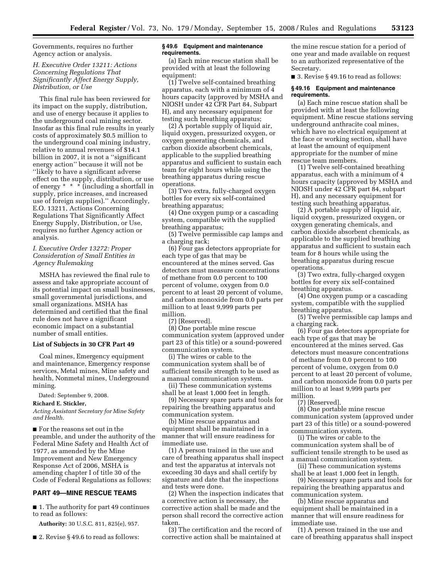Governments, requires no further Agency action or analysis.

## *H. Executive Order 13211: Actions Concerning Regulations That Significantly Affect Energy Supply, Distribution, or Use*

This final rule has been reviewed for its impact on the supply, distribution, and use of energy because it applies to the underground coal mining sector. Insofar as this final rule results in yearly costs of approximately \$0.5 million to the underground coal mining industry, relative to annual revenues of \$14.1 billion in 2007, it is not a ''significant energy action'' because it will not be ''likely to have a significant adverse effect on the supply, distribution, or use of energy \* \* \* (including a shortfall in supply, price increases, and increased use of foreign supplies).'' Accordingly, E.O. 13211, Actions Concerning Regulations That Significantly Affect Energy Supply, Distribution, or Use, requires no further Agency action or analysis.

# *I. Executive Order 13272: Proper Consideration of Small Entities in Agency Rulemaking*

MSHA has reviewed the final rule to assess and take appropriate account of its potential impact on small businesses, small governmental jurisdictions, and small organizations. MSHA has determined and certified that the final rule does not have a significant economic impact on a substantial number of small entities.

### **List of Subjects in 30 CFR Part 49**

Coal mines, Emergency equipment and maintenance, Emergency response services, Metal mines, Mine safety and health, Nonmetal mines, Underground mining.

Dated: September 9, 2008.

#### **Richard E. Stickler,**

*Acting Assistant Secretary for Mine Safety and Health.* 

■ For the reasons set out in the preamble, and under the authority of the Federal Mine Safety and Health Act of 1977, as amended by the Mine Improvement and New Emergency Response Act of 2006, MSHA is amending chapter I of title 30 of the Code of Federal Regulations as follows:

## **PART 49—MINE RESCUE TEAMS**

■ 1. The authority for part 49 continues to read as follows:

**Authority:** 30 U.S.C. 811, 825(e), 957.

■ 2. Revise § 49.6 to read as follows:

### **§ 49.6 Equipment and maintenance requirements.**

(a) Each mine rescue station shall be provided with at least the following equipment:

(1) Twelve self-contained breathing apparatus, each with a minimum of 4 hours capacity (approved by MSHA and NIOSH under 42 CFR Part 84, Subpart H), and any necessary equipment for testing such breathing apparatus;

(2) A portable supply of liquid air, liquid oxygen, pressurized oxygen, or oxygen generating chemicals, and carbon dioxide absorbent chemicals, applicable to the supplied breathing apparatus and sufficient to sustain each team for eight hours while using the breathing apparatus during rescue operations.

(3) Two extra, fully-charged oxygen bottles for every six self-contained breathing apparatus;

(4) One oxygen pump or a cascading system, compatible with the supplied breathing apparatus;

(5) Twelve permissible cap lamps and a charging rack;

(6) Four gas detectors appropriate for each type of gas that may be encountered at the mines served. Gas detectors must measure concentrations of methane from 0.0 percent to 100 percent of volume, oxygen from 0.0 percent to at least 20 percent of volume, and carbon monoxide from 0.0 parts per million to at least 9,999 parts per million.

(7) [Reserved].

(8) One portable mine rescue communication system (approved under part 23 of this title) or a sound-powered communication system.

(i) The wires or cable to the communication system shall be of sufficient tensile strength to be used as a manual communication system.

(ii) These communication systems shall be at least 1,000 feet in length.

(9) Necessary spare parts and tools for repairing the breathing apparatus and communication system.

(b) Mine rescue apparatus and equipment shall be maintained in a manner that will ensure readiness for immediate use.

(1) A person trained in the use and care of breathing apparatus shall inspect and test the apparatus at intervals not exceeding 30 days and shall certify by signature and date that the inspections and tests were done.

(2) When the inspection indicates that a corrective action is necessary, the corrective action shall be made and the person shall record the corrective action taken.

(3) The certification and the record of corrective action shall be maintained at

the mine rescue station for a period of one year and made available on request to an authorized representative of the Secretary.

■ 3. Revise § 49.16 to read as follows:

#### **§ 49.16 Equipment and maintenance requirements.**

(a) Each mine rescue station shall be provided with at least the following equipment. Mine rescue stations serving underground anthracite coal mines, which have no electrical equipment at the face or working section, shall have at least the amount of equipment appropriate for the number of mine rescue team members.

(1) Twelve self-contained breathing apparatus, each with a minimum of 4 hours capacity (approved by MSHA and NIOSH under 42 CFR part 84, subpart H), and any necessary equipment for testing such breathing apparatus.

(2) A portable supply of liquid air, liquid oxygen, pressurized oxygen, or oxygen generating chemicals, and carbon dioxide absorbent chemicals, as applicable to the supplied breathing apparatus and sufficient to sustain each team for 8 hours while using the breathing apparatus during rescue operations.

(3) Two extra, fully-charged oxygen bottles for every six self-contained breathing apparatus.

(4) One oxygen pump or a cascading system, compatible with the supplied breathing apparatus.

(5) Twelve permissible cap lamps and a charging rack.

(6) Four gas detectors appropriate for each type of gas that may be encountered at the mines served. Gas detectors must measure concentrations of methane from 0.0 percent to 100 percent of volume, oxygen from 0.0 percent to at least 20 percent of volume, and carbon monoxide from 0.0 parts per million to at least 9,999 parts per million.

(7) [Reserved].

(8) One portable mine rescue communication system (approved under part 23 of this title) or a sound-powered communication system.

(i) The wires or cable to the communication system shall be of sufficient tensile strength to be used as a manual communication system.

(ii) These communication systems shall be at least 1,000 feet in length.

(9) Necessary spare parts and tools for repairing the breathing apparatus and communication system.

(b) Mine rescue apparatus and equipment shall be maintained in a manner that will ensure readiness for immediate use.

(1) A person trained in the use and care of breathing apparatus shall inspect